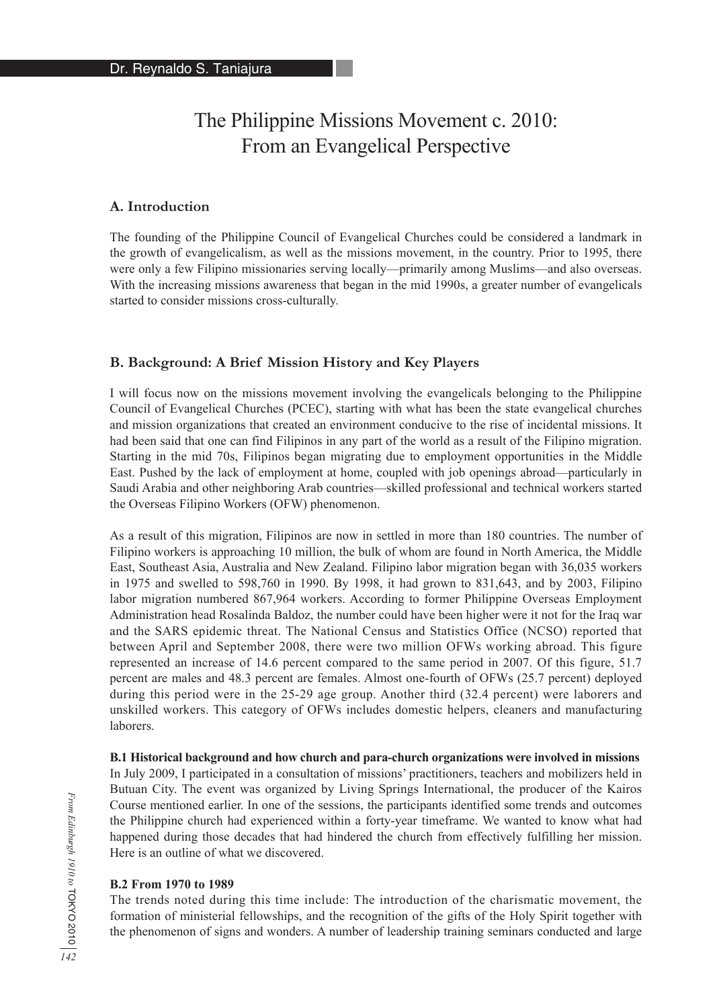# The Philippine Missions Movement c. 2010: From an Evangelical Perspective

## **A. Introduction**

The founding of the Philippine Council of Evangelical Churches could be considered a landmark in the growth of evangelicalism, as well as the missions movement, in the country. Prior to 1995, there were only a few Filipino missionaries serving locally—primarily among Muslims—and also overseas. With the increasing missions awareness that began in the mid 1990s, a greater number of evangelicals started to consider missions cross-culturally.

## **B. Background: A Brief Mission History and Key Players**

I will focus now on the missions movement involving the evangelicals belonging to the Philippine Council of Evangelical Churches (PCEC), starting with what has been the state evangelical churches and mission organizations that created an environment conducive to the rise of incidental missions. It had been said that one can find Filipinos in any part of the world as a result of the Filipino migration. Starting in the mid 70s, Filipinos began migrating due to employment opportunities in the Middle East. Pushed by the lack of employment at home, coupled with job openings abroad—particularly in Saudi Arabia and other neighboring Arab countries—skilled professional and technical workers started the Overseas Filipino Workers (OFW) phenomenon.

As a result of this migration, Filipinos are now in settled in more than 180 countries. The number of Filipino workers is approaching 10 million, the bulk of whom are found in North America, the Middle East, Southeast Asia, Australia and New Zealand. Filipino labor migration began with 36,035 workers in 1975 and swelled to 598,760 in 1990. By 1998, it had grown to 831,643, and by 2003, Filipino labor migration numbered 867,964 workers. According to former Philippine Overseas Employment Administration head Rosalinda Baldoz, the number could have been higher were it not for the Iraq war and the SARS epidemic threat. The National Census and Statistics Office (NCSO) reported that between April and September 2008, there were two million OFWs working abroad. This figure represented an increase of 14.6 percent compared to the same period in 2007. Of this figure, 51.7 percent are males and 48.3 percent are females. Almost one-fourth of OFWs (25.7 percent) deployed during this period were in the 25-29 age group. Another third (32.4 percent) were laborers and unskilled workers. This category of OFWs includes domestic helpers, cleaners and manufacturing laborers.

**B.1 Historical background and how church and para-church organizations were involved in missions** In July 2009, I participated in a consultation of missions' practitioners, teachers and mobilizers held in Butuan City. The event was organized by Living Springs International, the producer of the Kairos Course mentioned earlier. In one of the sessions, the participants identified some trends and outcomes the Philippine church had experienced within a forty-year timeframe. We wanted to know what had happened during those decades that had hindered the church from effectively fulfilling her mission. Here is an outline of what we discovered.

## **B.2 From 1970 to 1989**

The trends noted during this time include: The introduction of the charismatic movement, the formation of ministerial fellowships, and the recognition of the gifts of the Holy Spirit together with the phenomenon of signs and wonders. A number of leadership training seminars conducted and large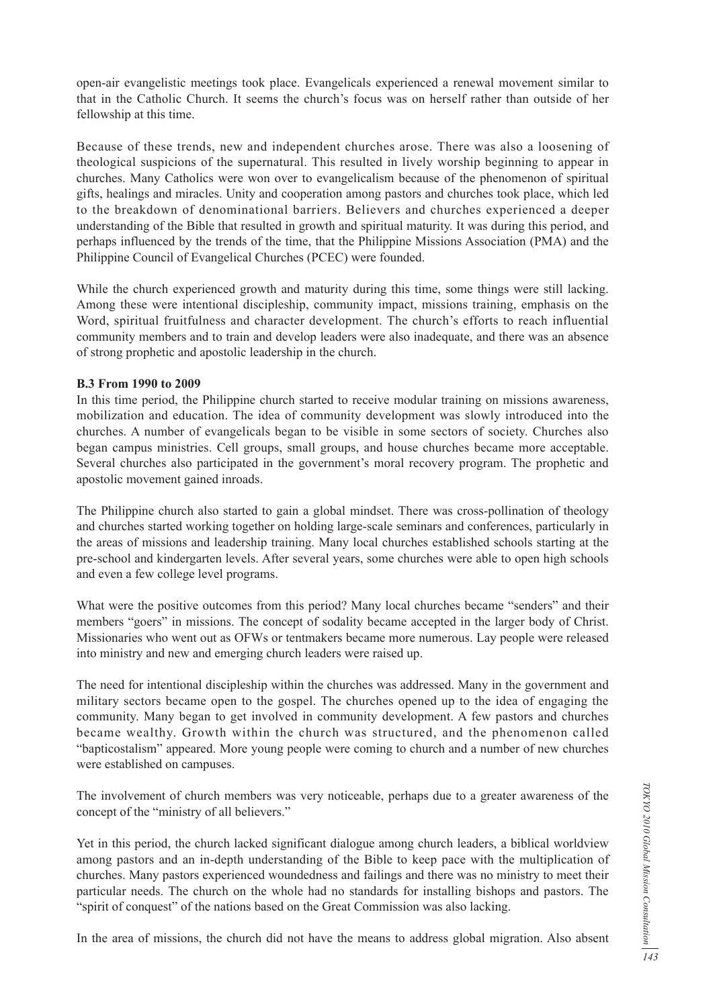open-air evangelistic meetings took place. Evangelicals experienced a renewal movement similar to that in the Catholic Church. It seems the church's focus was on herself rather than outside of her fellowship at this time.

Because of these trends, new and independent churches arose. There was also a loosening of theological suspicions of the supernatural. This resulted in lively worship beginning to appear in churches. Many Catholics were won over to evangelicalism because of the phenomenon of spiritual gifts, healings and miracles. Unity and cooperation among pastors and churches took place, which led to the breakdown of denominational barriers. Believers and churches experienced a deeper understanding of the Bible that resulted in growth and spiritual maturity. It was during this period, and perhaps influenced by the trends of the time, that the Philippine Missions Association (PMA) and the Philippine Council of Evangelical Churches (PCEC) were founded.

While the church experienced growth and maturity during this time, some things were still lacking. Among these were intentional discipleship, community impact, missions training, emphasis on the Word, spiritual fruitfulness and character development. The church's efforts to reach influential community members and to train and develop leaders were also inadequate, and there was an absence of strong prophetic and apostolic leadership in the church.

#### **B.3 From 1990 to 2009**

In this time period, the Philippine church started to receive modular training on missions awareness, mobilization and education. The idea of community development was slowly introduced into the churches. A number of evangelicals began to be visible in some sectors of society. Churches also began campus ministries. Cell groups, small groups, and house churches became more acceptable. Several churches also participated in the government's moral recovery program. The prophetic and apostolic movement gained inroads.

The Philippine church also started to gain a global mindset. There was cross-pollination of theology and churches started working together on holding large-scale seminars and conferences, particularly in the areas of missions and leadership training. Many local churches established schools starting at the pre-school and kindergarten levels. After several years, some churches were able to open high schools and even a few college level programs.

What were the positive outcomes from this period? Many local churches became "senders" and their members "goers" in missions. The concept of sodality became accepted in the larger body of Christ. Missionaries who went out as OFWs or tentmakers became more numerous. Lay people were released into ministry and new and emerging church leaders were raised up.

The need for intentional discipleship within the churches was addressed. Many in the government and military sectors became open to the gospel. The churches opened up to the idea of engaging the community. Many began to get involved in community development. A few pastors and churches became wealthy. Growth within the church was structured, and the phenomenon called "bapticostalism" appeared. More young people were coming to church and a number of new churches were established on campuses.

The involvement of church members was very noticeable, perhaps due to a greater awareness of the concept of the "ministry of all believers."

Yet in this period, the church lacked significant dialogue among church leaders, a biblical worldview among pastors and an in-depth understanding of the Bible to keep pace with the multiplication of churches. Many pastors experienced woundedness and failings and there was no ministry to meet their particular needs. The church on the whole had no standards for installing bishops and pastors. The "spirit of conquest" of the nations based on the Great Commission was also lacking.

In the area of missions, the church did not have the means to address global migration. Also absent